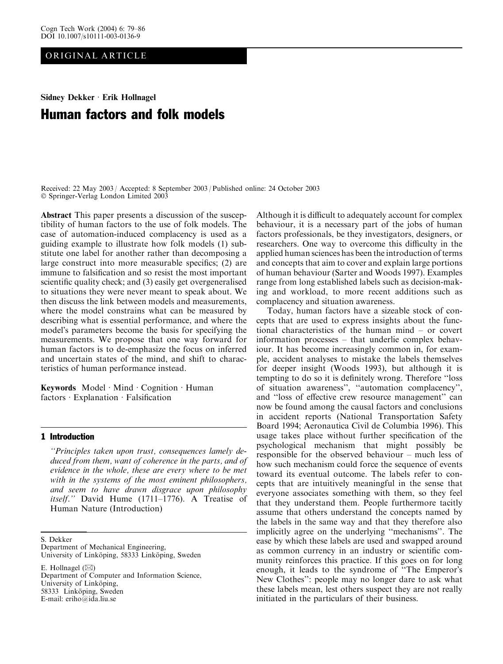# ORIGINAL ARTICLE

Sidney Dekker  $\cdot$  Erik Hollnagel

# Human factors and folk models

Received: 22 May 2003 / Accepted: 8 September 2003 / Published online: 24 October 2003 Springer-Verlag London Limited 2003

Abstract This paper presents a discussion of the susceptibility of human factors to the use of folk models. The case of automation-induced complacency is used as a guiding example to illustrate how folk models (1) substitute one label for another rather than decomposing a large construct into more measurable specifics; (2) are immune to falsification and so resist the most important scientific quality check; and (3) easily get overgeneralised to situations they were never meant to speak about. We then discuss the link between models and measurements, where the model constrains what can be measured by describing what is essential performance, and where the model's parameters become the basis for specifying the measurements. We propose that one way forward for human factors is to de-emphasize the focus on inferred and uncertain states of the mind, and shift to characteristics of human performance instead.

Keywords Model  $\cdot$  Mind  $\cdot$  Cognition  $\cdot$  Human  $factors \cdot Explaination \cdot Falsification$ 

# 1 Introduction

''Principles taken upon trust, consequences lamely deduced from them, want of coherence in the parts, and of evidence in the whole, these are every where to be met with in the systems of the most eminent philosophers, and seem to have drawn disgrace upon philosophy itself.'' David Hume (1711–1776). A Treatise of Human Nature (Introduction)

S. Dekker

E. Hollnagel  $(\boxtimes)$ Department of Computer and Information Science, University of Linköping, 58333 Linköping, Sweden E-mail: eriho@ida.liu.se

Although it is difficult to adequately account for complex behaviour, it is a necessary part of the jobs of human factors professionals, be they investigators, designers, or researchers. One way to overcome this difficulty in the applied human sciences has been the introduction of terms and concepts that aim to cover and explain large portions of human behaviour (Sarter and Woods 1997). Examples range from long established labels such as decision-making and workload, to more recent additions such as complacency and situation awareness.

Today, human factors have a sizeable stock of concepts that are used to express insights about the functional characteristics of the human mind – or covert information processes – that underlie complex behaviour. It has become increasingly common in, for example, accident analyses to mistake the labels themselves for deeper insight (Woods 1993), but although it is tempting to do so it is definitely wrong. Therefore ''loss of situation awareness'', ''automation complacency'', and ''loss of effective crew resource management'' can now be found among the causal factors and conclusions in accident reports (National Transportation Safety Board 1994; Aeronautica Civil de Columbia 1996). This usage takes place without further specification of the psychological mechanism that might possibly be responsible for the observed behaviour – much less of how such mechanism could force the sequence of events toward its eventual outcome. The labels refer to concepts that are intuitively meaningful in the sense that everyone associates something with them, so they feel that they understand them. People furthermore tacitly assume that others understand the concepts named by the labels in the same way and that they therefore also implicitly agree on the underlying ''mechanisms''. The ease by which these labels are used and swapped around as common currency in an industry or scientific community reinforces this practice. If this goes on for long enough, it leads to the syndrome of "The Emperor's New Clothes'': people may no longer dare to ask what these labels mean, lest others suspect they are not really initiated in the particulars of their business.

Department of Mechanical Engineering, University of Linköping, 58333 Linköping, Sweden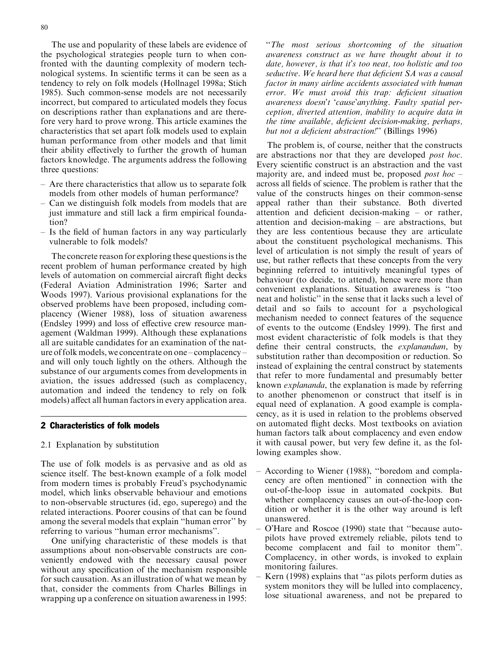The use and popularity of these labels are evidence of the psychological strategies people turn to when confronted with the daunting complexity of modern technological systems. In scientific terms it can be seen as a tendency to rely on folk models (Hollnagel 1998a; Stich 1985). Such common-sense models are not necessarily incorrect, but compared to articulated models they focus on descriptions rather than explanations and are therefore very hard to prove wrong. This article examines the characteristics that set apart folk models used to explain human performance from other models and that limit their ability effectively to further the growth of human factors knowledge. The arguments address the following three questions:

- Are there characteristics that allow us to separate folk models from other models of human performance?
- Can we distinguish folk models from models that are just immature and still lack a firm empirical foundation?
- Is the field of human factors in any way particularly vulnerable to folk models?

The concrete reason for exploring these questions is the recent problem of human performance created by high levels of automation on commercial aircraft flight decks (Federal Aviation Administration 1996; Sarter and Woods 1997). Various provisional explanations for the observed problems have been proposed, including complacency (Wiener 1988), loss of situation awareness (Endsley 1999) and loss of effective crew resource management (Waldman 1999). Although these explanations all are suitable candidates for an examination of the nature of folk models, we concentrate on one – complacency – and will only touch lightly on the others. Although the substance of our arguments comes from developments in aviation, the issues addressed (such as complacency, automation and indeed the tendency to rely on folk models) affect all human factors in every application area.

# 2 Characteristics of folk models

## 2.1 Explanation by substitution

The use of folk models is as pervasive and as old as science itself. The best-known example of a folk model from modern times is probably Freud's psychodynamic model, which links observable behaviour and emotions to non-observable structures (id, ego, superego) and the related interactions. Poorer cousins of that can be found among the several models that explain ''human error'' by referring to various ''human error mechanisms''.

One unifying characteristic of these models is that assumptions about non-observable constructs are conveniently endowed with the necessary causal power without any specification of the mechanism responsible for such causation. As an illustration of what we mean by that, consider the comments from Charles Billings in wrapping up a conference on situation awareness in 1995:

''The most serious shortcoming of the situation awareness construct as we have thought about it to date, however, is that it's too neat, too holistic and too seductive. We heard here that deficient SA was a causal factor in many airline accidents associated with human error. We must avoid this trap: deficient situation awareness doesn't 'cause'anything. Faulty spatial perception, diverted attention, inability to acquire data in the time available, deficient decision-making, perhaps, but not a deficient abstraction!" (Billings 1996)

The problem is, of course, neither that the constructs are abstractions nor that they are developed *post hoc*. Every scientific construct is an abstraction and the vast majority are, and indeed must be, proposed *post hoc* – across all fields of science. The problem is rather that the value of the constructs hinges on their common-sense appeal rather than their substance. Both diverted attention and deficient decision-making – or rather, attention and decision-making – are abstractions, but they are less contentious because they are articulate about the constituent psychological mechanisms. This level of articulation is not simply the result of years of use, but rather reflects that these concepts from the very beginning referred to intuitively meaningful types of behaviour (to decide, to attend), hence were more than convenient explanations. Situation awareness is ''too neat and holistic'' in the sense that it lacks such a level of detail and so fails to account for a psychological mechanism needed to connect features of the sequence of events to the outcome (Endsley 1999). The first and most evident characteristic of folk models is that they define their central constructs, the *explanandum*, by substitution rather than decomposition or reduction. So instead of explaining the central construct by statements that refer to more fundamental and presumably better known explananda, the explanation is made by referring to another phenomenon or construct that itself is in equal need of explanation. A good example is complacency, as it is used in relation to the problems observed on automated flight decks. Most textbooks on aviation human factors talk about complacency and even endow it with causal power, but very few define it, as the following examples show.

- According to Wiener (1988), ''boredom and complacency are often mentioned'' in connection with the out-of-the-loop issue in automated cockpits. But whether complacency causes an out-of-the-loop condition or whether it is the other way around is left unanswered.
- OHare and Roscoe (1990) state that ''because autopilots have proved extremely reliable, pilots tend to become complacent and fail to monitor them''. Complacency, in other words, is invoked to explain monitoring failures.
- Kern (1998) explains that "as pilots perform duties as system monitors they will be lulled into complacency, lose situational awareness, and not be prepared to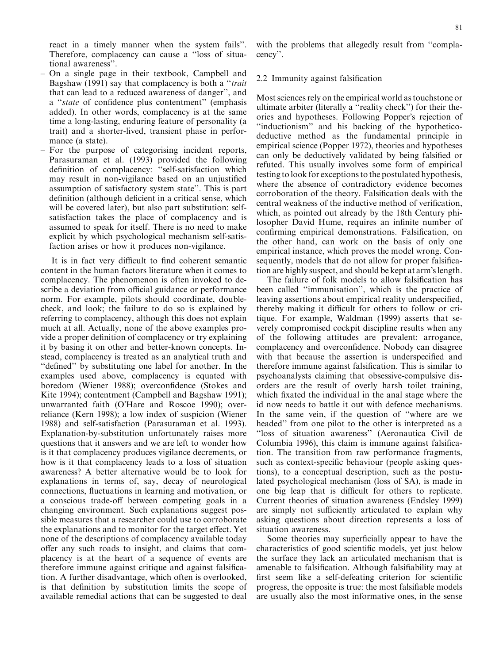react in a timely manner when the system fails''. Therefore, complacency can cause a ''loss of situational awareness''.

- On a single page in their textbook, Campbell and Bagshaw (1991) say that complacency is both a "*trait*" that can lead to a reduced awareness of danger'', and a ''state of confidence plus contentment'' (emphasis added). In other words, complacency is at the same time a long-lasting, enduring feature of personality (a trait) and a shorter-lived, transient phase in performance (a state).
- For the purpose of categorising incident reports, Parasuraman et al. (1993) provided the following definition of complacency: ''self-satisfaction which may result in non-vigilance based on an unjustified assumption of satisfactory system state''. This is part definition (although deficient in a critical sense, which will be covered later), but also part substitution: selfsatisfaction takes the place of complacency and is assumed to speak for itself. There is no need to make explicit by which psychological mechanism self-satisfaction arises or how it produces non-vigilance.

It is in fact very difficult to find coherent semantic content in the human factors literature when it comes to complacency. The phenomenon is often invoked to describe a deviation from official guidance or performance norm. For example, pilots should coordinate, doublecheck, and look; the failure to do so is explained by referring to complacency, although this does not explain much at all. Actually, none of the above examples provide a proper definition of complacency or try explaining it by basing it on other and better-known concepts. Instead, complacency is treated as an analytical truth and ''defined'' by substituting one label for another. In the examples used above, complacency is equated with boredom (Wiener 1988); overconfidence (Stokes and Kite 1994); contentment (Campbell and Bagshaw 1991); unwarranted faith (O'Hare and Roscoe 1990); overreliance (Kern 1998); a low index of suspicion (Wiener 1988) and self-satisfaction (Parasuraman et al. 1993). Explanation-by-substitution unfortunately raises more questions that it answers and we are left to wonder how is it that complacency produces vigilance decrements, or how is it that complacency leads to a loss of situation awareness? A better alternative would be to look for explanations in terms of, say, decay of neurological connections, fluctuations in learning and motivation, or a conscious trade-off between competing goals in a changing environment. Such explanations suggest possible measures that a researcher could use to corroborate the explanations and to monitor for the target effect. Yet none of the descriptions of complacency available today offer any such roads to insight, and claims that complacency is at the heart of a sequence of events are therefore immune against critique and against falsification. A further disadvantage, which often is overlooked, is that definition by substitution limits the scope of available remedial actions that can be suggested to deal

with the problems that allegedly result from "complacency''.

# 2.2 Immunity against falsification

Most sciences rely on the empirical world as touchstone or ultimate arbiter (literally a ''reality check'') for their theories and hypotheses. Following Popper's rejection of ''inductionism'' and his backing of the hypotheticodeductive method as the fundamental principle in empirical science (Popper 1972), theories and hypotheses can only be deductively validated by being falsified or refuted. This usually involves some form of empirical testing to look for exceptions to the postulated hypothesis, where the absence of contradictory evidence becomes corroboration of the theory. Falsification deals with the central weakness of the inductive method of verification, which, as pointed out already by the 18th Century philosopher David Hume, requires an infinite number of confirming empirical demonstrations. Falsification, on the other hand, can work on the basis of only one empirical instance, which proves the model wrong. Consequently, models that do not allow for proper falsification are highly suspect, and should be kept at arm's length.

The failure of folk models to allow falsification has been called ''immunisation'', which is the practice of leaving assertions about empirical reality underspecified, thereby making it difficult for others to follow or critique. For example, Waldman (1999) asserts that severely compromised cockpit discipline results when any of the following attitudes are prevalent: arrogance, complacency and overconfidence. Nobody can disagree with that because the assertion is underspecified and therefore immune against falsification. This is similar to psychoanalysts claiming that obsessive-compulsive disorders are the result of overly harsh toilet training, which fixated the individual in the anal stage where the id now needs to battle it out with defence mechanisms. In the same vein, if the question of ''where are we headed'' from one pilot to the other is interpreted as a ''loss of situation awareness'' (Aeronautica Civil de Columbia 1996), this claim is immune against falsification. The transition from raw performance fragments, such as context-specific behaviour (people asking questions), to a conceptual description, such as the postulated psychological mechanism (loss of SA), is made in one big leap that is difficult for others to replicate. Current theories of situation awareness (Endsley 1999) are simply not sufficiently articulated to explain why asking questions about direction represents a loss of situation awareness.

Some theories may superficially appear to have the characteristics of good scientific models, yet just below the surface they lack an articulated mechanism that is amenable to falsification. Although falsifiability may at first seem like a self-defeating criterion for scientific progress, the opposite is true: the most falsifiable models are usually also the most informative ones, in the sense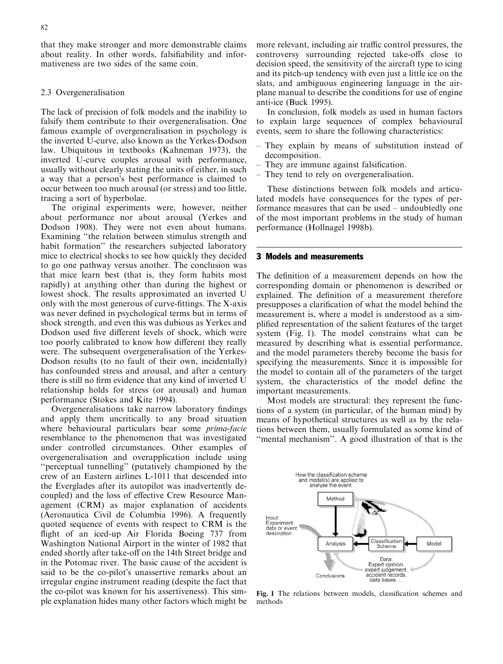that they make stronger and more demonstrable claims about reality. In other words, falsifiability and informativeness are two sides of the same coin.

# 2.3 Overgeneralisation

The lack of precision of folk models and the inability to falsify them contribute to their overgeneralisation. One famous example of overgeneralisation in psychology is the inverted U-curve, also known as the Yerkes-Dodson law. Ubiquitous in textbooks (Kahneman 1973), the inverted U-curve couples arousal with performance, usually without clearly stating the units of either, in such a way that a person's best performance is claimed to occur between too much arousal (or stress) and too little, tracing a sort of hyperbolae.

The original experiments were, however, neither about performance nor about arousal (Yerkes and Dodson 1908). They were not even about humans. Examining ''the relation between stimulus strength and habit formation'' the researchers subjected laboratory mice to electrical shocks to see how quickly they decided to go one pathway versus another. The conclusion was that mice learn best (that is, they form habits most rapidly) at anything other than during the highest or lowest shock. The results approximated an inverted U only with the most generous of curve-fittings. The X-axis was never defined in psychological terms but in terms of shock strength, and even this was dubious as Yerkes and Dodson used five different levels of shock, which were too poorly calibrated to know how different they really were. The subsequent overgeneralisation of the Yerkes-Dodson results (to no fault of their own, incidentally) has confounded stress and arousal, and after a century there is still no firm evidence that any kind of inverted U relationship holds for stress (or arousal) and human performance (Stokes and Kite 1994).

Overgeneralisations take narrow laboratory findings and apply them uncritically to any broad situation where behavioural particulars bear some prima-facie resemblance to the phenomenon that was investigated under controlled circumstances. Other examples of overgeneralisation and overapplication include using ''perceptual tunnelling'' (putatively championed by the crew of an Eastern airlines L-1011 that descended into the Everglades after its autopilot was inadvertently decoupled) and the loss of effective Crew Resource Management (CRM) as major explanation of accidents (Aeronautica Civil de Columbia 1996). A frequently quoted sequence of events with respect to CRM is the flight of an iced-up Air Florida Boeing 737 from Washington National Airport in the winter of 1982 that ended shortly after take-off on the 14th Street bridge and in the Potomac river. The basic cause of the accident is said to be the co-pilot's unassertive remarks about an irregular engine instrument reading (despite the fact that the co-pilot was known for his assertiveness). This simple explanation hides many other factors which might be more relevant, including air traffic control pressures, the controversy surrounding rejected take-offs close to decision speed, the sensitivity of the aircraft type to icing and its pitch-up tendency with even just a little ice on the slats, and ambiguous engineering language in the airplane manual to describe the conditions for use of engine anti-ice (Buck 1995).

In conclusion, folk models as used in human factors to explain large sequences of complex behavioural events, seem to share the following characteristics:

- They explain by means of substitution instead of decomposition.
- They are immune against falsification.
- They tend to rely on overgeneralisation.

These distinctions between folk models and articulated models have consequences for the types of performance measures that can be used – undoubtedly one of the most important problems in the study of human performance (Hollnagel 1998b).

#### 3 Models and measurements

The definition of a measurement depends on how the corresponding domain or phenomenon is described or explained. The definition of a measurement therefore presupposes a clarification of what the model behind the measurement is, where a model is understood as a simplified representation of the salient features of the target system (Fig. 1). The model constrains what can be measured by describing what is essential performance, and the model parameters thereby become the basis for specifying the measurements. Since it is impossible for the model to contain all of the parameters of the target system, the characteristics of the model define the important measurements.

Most models are structural: they represent the functions of a system (in particular, of the human mind) by means of hypothetical structures as well as by the relations between them, usually formulated as some kind of "mental mechanism". A good illustration of that is the



Fig. 1 The relations between models, classification schemes and methods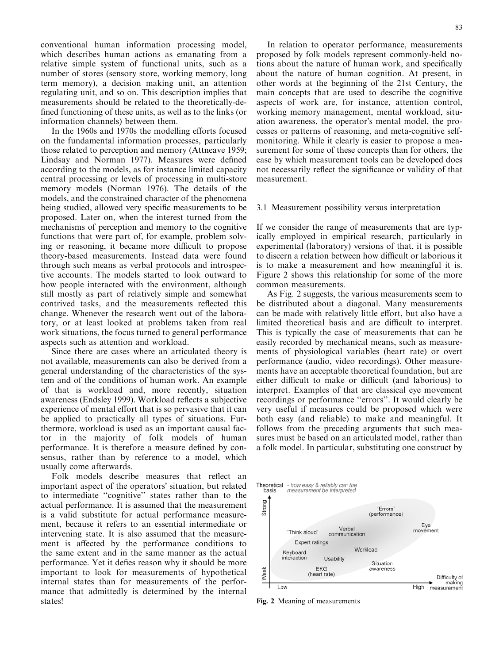conventional human information processing model, which describes human actions as emanating from a relative simple system of functional units, such as a number of stores (sensory store, working memory, long term memory), a decision making unit, an attention regulating unit, and so on. This description implies that measurements should be related to the theoretically-defined functioning of these units, as well as to the links (or information channels) between them.

In the 1960s and 1970s the modelling efforts focused on the fundamental information processes, particularly those related to perception and memory (Attneave 1959; Lindsay and Norman 1977). Measures were defined according to the models, as for instance limited capacity central processing or levels of processing in multi-store memory models (Norman 1976). The details of the models, and the constrained character of the phenomena being studied, allowed very specific measurements to be proposed. Later on, when the interest turned from the mechanisms of perception and memory to the cognitive functions that were part of, for example, problem solving or reasoning, it became more difficult to propose theory-based measurements. Instead data were found through such means as verbal protocols and introspective accounts. The models started to look outward to how people interacted with the environment, although still mostly as part of relatively simple and somewhat contrived tasks, and the measurements reflected this change. Whenever the research went out of the laboratory, or at least looked at problems taken from real work situations, the focus turned to general performance aspects such as attention and workload.

Since there are cases where an articulated theory is not available, measurements can also be derived from a general understanding of the characteristics of the system and of the conditions of human work. An example of that is workload and, more recently, situation awareness (Endsley 1999). Workload reflects a subjective experience of mental effort that is so pervasive that it can be applied to practically all types of situations. Furthermore, workload is used as an important causal factor in the majority of folk models of human performance. It is therefore a measure defined by consensus, rather than by reference to a model, which usually come afterwards.

Folk models describe measures that reflect an important aspect of the operators' situation, but related to intermediate ''cognitive'' states rather than to the actual performance. It is assumed that the measurement is a valid substitute for actual performance measurement, because it refers to an essential intermediate or intervening state. It is also assumed that the measurement is affected by the performance conditions to the same extent and in the same manner as the actual performance. Yet it defies reason why it should be more important to look for measurements of hypothetical internal states than for measurements of the performance that admittedly is determined by the internal states!

In relation to operator performance, measurements proposed by folk models represent commonly-held notions about the nature of human work, and specifically about the nature of human cognition. At present, in other words at the beginning of the 21st Century, the main concepts that are used to describe the cognitive aspects of work are, for instance, attention control, working memory management, mental workload, situation awareness, the operator's mental model, the processes or patterns of reasoning, and meta-cognitive selfmonitoring. While it clearly is easier to propose a measurement for some of these concepts than for others, the ease by which measurement tools can be developed does not necessarily reflect the significance or validity of that measurement.

## 3.1 Measurement possibility versus interpretation

If we consider the range of measurements that are typically employed in empirical research, particularly in experimental (laboratory) versions of that, it is possible to discern a relation between how difficult or laborious it is to make a measurement and how meaningful it is. Figure 2 shows this relationship for some of the more common measurements.

As Fig. 2 suggests, the various measurements seem to be distributed about a diagonal. Many measurements can be made with relatively little effort, but also have a limited theoretical basis and are difficult to interpret. This is typically the case of measurements that can be easily recorded by mechanical means, such as measurements of physiological variables (heart rate) or overt performance (audio, video recordings). Other measurements have an acceptable theoretical foundation, but are either difficult to make or difficult (and laborious) to interpret. Examples of that are classical eye movement recordings or performance ''errors''. It would clearly be very useful if measures could be proposed which were both easy (and reliable) to make and meaningful. It follows from the preceding arguments that such measures must be based on an articulated model, rather than a folk model. In particular, substituting one construct by



Fig. 2 Meaning of measurements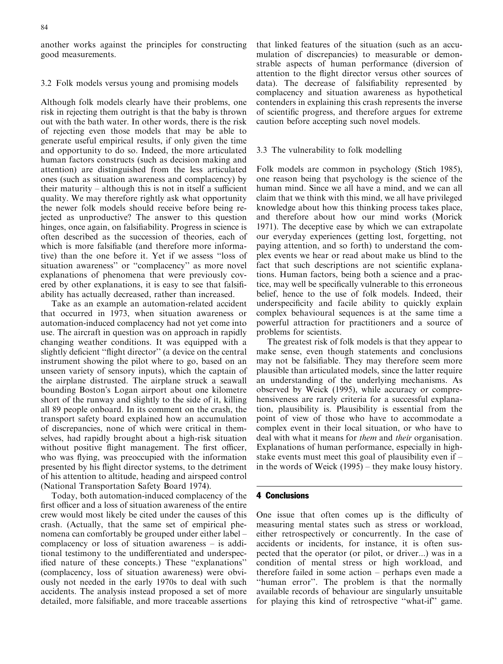another works against the principles for constructing good measurements.

# 3.2 Folk models versus young and promising models

Although folk models clearly have their problems, one risk in rejecting them outright is that the baby is thrown out with the bath water. In other words, there is the risk of rejecting even those models that may be able to generate useful empirical results, if only given the time and opportunity to do so. Indeed, the more articulated human factors constructs (such as decision making and attention) are distinguished from the less articulated ones (such as situation awareness and complacency) by their maturity – although this is not in itself a sufficient quality. We may therefore rightly ask what opportunity the newer folk models should receive before being rejected as unproductive? The answer to this question hinges, once again, on falsifiability. Progress in science is often described as the succession of theories, each of which is more falsifiable (and therefore more informative) than the one before it. Yet if we assess ''loss of situation awareness'' or ''complacency'' as more novel explanations of phenomena that were previously covered by other explanations, it is easy to see that falsifiability has actually decreased, rather than increased.

Take as an example an automation-related accident that occurred in 1973, when situation awareness or automation-induced complacency had not yet come into use. The aircraft in question was on approach in rapidly changing weather conditions. It was equipped with a slightly deficient ''flight director'' (a device on the central instrument showing the pilot where to go, based on an unseen variety of sensory inputs), which the captain of the airplane distrusted. The airplane struck a seawall bounding Boston's Logan airport about one kilometre short of the runway and slightly to the side of it, killing all 89 people onboard. In its comment on the crash, the transport safety board explained how an accumulation of discrepancies, none of which were critical in themselves, had rapidly brought about a high-risk situation without positive flight management. The first officer, who was flying, was preoccupied with the information presented by his flight director systems, to the detriment of his attention to altitude, heading and airspeed control (National Transportation Safety Board 1974).

Today, both automation-induced complacency of the first officer and a loss of situation awareness of the entire crew would most likely be cited under the causes of this crash. (Actually, that the same set of empirical phenomena can comfortably be grouped under either label – complacency or loss of situation awareness – is additional testimony to the undifferentiated and underspecified nature of these concepts.) These ''explanations'' (complacency, loss of situation awareness) were obviously not needed in the early 1970s to deal with such accidents. The analysis instead proposed a set of more detailed, more falsifiable, and more traceable assertions that linked features of the situation (such as an accumulation of discrepancies) to measurable or demonstrable aspects of human performance (diversion of attention to the flight director versus other sources of data). The decrease of falsifiability represented by complacency and situation awareness as hypothetical contenders in explaining this crash represents the inverse of scientific progress, and therefore argues for extreme caution before accepting such novel models.

# 3.3 The vulnerability to folk modelling

Folk models are common in psychology (Stich 1985), one reason being that psychology is the science of the human mind. Since we all have a mind, and we can all claim that we think with this mind, we all have privileged knowledge about how this thinking process takes place, and therefore about how our mind works (Morick 1971). The deceptive ease by which we can extrapolate our everyday experiences (getting lost, forgetting, not paying attention, and so forth) to understand the complex events we hear or read about make us blind to the fact that such descriptions are not scientific explanations. Human factors, being both a science and a practice, may well be specifically vulnerable to this erroneous belief, hence to the use of folk models. Indeed, their underspecificity and facile ability to quickly explain complex behavioural sequences is at the same time a powerful attraction for practitioners and a source of problems for scientists.

The greatest risk of folk models is that they appear to make sense, even though statements and conclusions may not be falsifiable. They may therefore seem more plausible than articulated models, since the latter require an understanding of the underlying mechanisms. As observed by Weick (1995), while accuracy or comprehensiveness are rarely criteria for a successful explanation, plausibility is. Plausibility is essential from the point of view of those who have to accommodate a complex event in their local situation, or who have to deal with what it means for *them* and *their* organisation. Explanations of human performance, especially in highstake events must meet this goal of plausibility even if – in the words of Weick (1995) – they make lousy history.

## 4 Conclusions

One issue that often comes up is the difficulty of measuring mental states such as stress or workload, either retrospectively or concurrently. In the case of accidents or incidents, for instance, it is often suspected that the operator (or pilot, or driver...) was in a condition of mental stress or high workload, and therefore failed in some action – perhaps even made a ''human error''. The problem is that the normally available records of behaviour are singularly unsuitable for playing this kind of retrospective ''what-if'' game.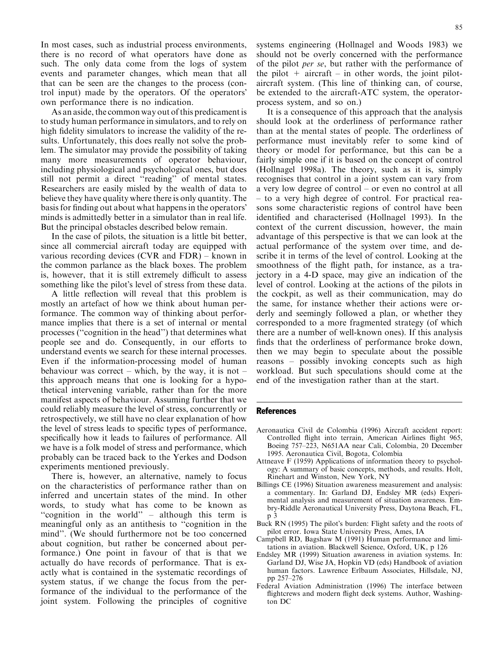In most cases, such as industrial process environments, there is no record of what operators have done as such. The only data come from the logs of system events and parameter changes, which mean that all that can be seen are the changes to the process (control input) made by the operators. Of the operators own performance there is no indication.

As an aside, the common way out of this predicament is to study human performance in simulators, and to rely on high fidelity simulators to increase the validity of the results. Unfortunately, this does really not solve the problem. The simulator may provide the possibility of taking many more measurements of operator behaviour, including physiological and psychological ones, but does still not permit a direct ''reading'' of mental states. Researchers are easily misled by the wealth of data to believe they have quality where there is only quantity. The basis for finding out about what happens in the operators minds is admittedly better in a simulator than in real life. But the principal obstacles described below remain.

In the case of pilots, the situation is a little bit better, since all commercial aircraft today are equipped with various recording devices (CVR and FDR) – known in the common parlance as the black boxes. The problem is, however, that it is still extremely difficult to assess something like the pilot's level of stress from these data.

A little reflection will reveal that this problem is mostly an artefact of how we think about human performance. The common way of thinking about performance implies that there is a set of internal or mental processes (''cognition in the head'') that determines what people see and do. Consequently, in our efforts to understand events we search for these internal processes. Even if the information-processing model of human behaviour was correct – which, by the way, it is not – this approach means that one is looking for a hypothetical intervening variable, rather than for the more manifest aspects of behaviour. Assuming further that we could reliably measure the level of stress, concurrently or retrospectively, we still have no clear explanation of how the level of stress leads to specific types of performance, specifically how it leads to failures of performance. All we have is a folk model of stress and performance, which probably can be traced back to the Yerkes and Dodson experiments mentioned previously.

There is, however, an alternative, namely to focus on the characteristics of performance rather than on inferred and uncertain states of the mind. In other words, to study what has come to be known as ''cognition in the world'' – although this term is meaningful only as an antithesis to ''cognition in the mind''. (We should furthermore not be too concerned about cognition, but rather be concerned about performance.) One point in favour of that is that we actually do have records of performance. That is exactly what is contained in the systematic recordings of system status, if we change the focus from the performance of the individual to the performance of the joint system. Following the principles of cognitive systems engineering (Hollnagel and Woods 1983) we should not be overly concerned with the performance of the pilot *per se*, but rather with the performance of the pilot  $+$  aircraft – in other words, the joint pilotaircraft system. (This line of thinking can, of course, be extended to the aircraft-ATC system, the operatorprocess system, and so on.)

It is a consequence of this approach that the analysis should look at the orderliness of performance rather than at the mental states of people. The orderliness of performance must inevitably refer to some kind of theory or model for performance, but this can be a fairly simple one if it is based on the concept of control (Hollnagel 1998a). The theory, such as it is, simply recognises that control in a joint system can vary from a very low degree of control – or even no control at all – to a very high degree of control. For practical reasons some characteristic regions of control have been identified and characterised (Hollnagel 1993). In the context of the current discussion, however, the main advantage of this perspective is that we can look at the actual performance of the system over time, and describe it in terms of the level of control. Looking at the smoothness of the flight path, for instance, as a trajectory in a 4-D space, may give an indication of the level of control. Looking at the actions of the pilots in the cockpit, as well as their communication, may do the same, for instance whether their actions were orderly and seemingly followed a plan, or whether they corresponded to a more fragmented strategy (of which there are a number of well-known ones). If this analysis finds that the orderliness of performance broke down, then we may begin to speculate about the possible reasons – possibly invoking concepts such as high workload. But such speculations should come at the end of the investigation rather than at the start.

#### References

- Aeronautica Civil de Colombia (1996) Aircraft accident report: Controlled flight into terrain, American Airlines flight 965, Boeing 757–223, N651AA near Cali, Colombia, 20 December 1995. Aeronautica Civil, Bogota, Colombia
- Attneave F (1959) Applications of information theory to psychology: A summary of basic concepts, methods, and results. Holt, Rinehart and Winston, New York, NY
- Billings CE (1996) Situation awareness measurement and analysis: a commentary. In: Garland DJ, Endsley MR (eds) Experimental analysis and measurement of situation awareness. Embry-Riddle Aeronautical University Press, Daytona Beach, FL, p 3
- Buck RN (1995) The pilot's burden: Flight safety and the roots of pilot error. Iowa State University Press, Ames, IA
- Campbell RD, Bagshaw M (1991) Human performance and limitations in aviation. Blackwell Science, Oxford, UK, p 126
- Endsley MR (1999) Situation awareness in aviation systems. In: Garland DJ, Wise JA, Hopkin VD (eds) Handbook of aviation human factors. Lawrence Erlbaum Associates, Hillsdale, NJ, pp 257–276
- Federal Aviation Administration (1996) The interface between flightcrews and modern flight deck systems. Author, Washington DC